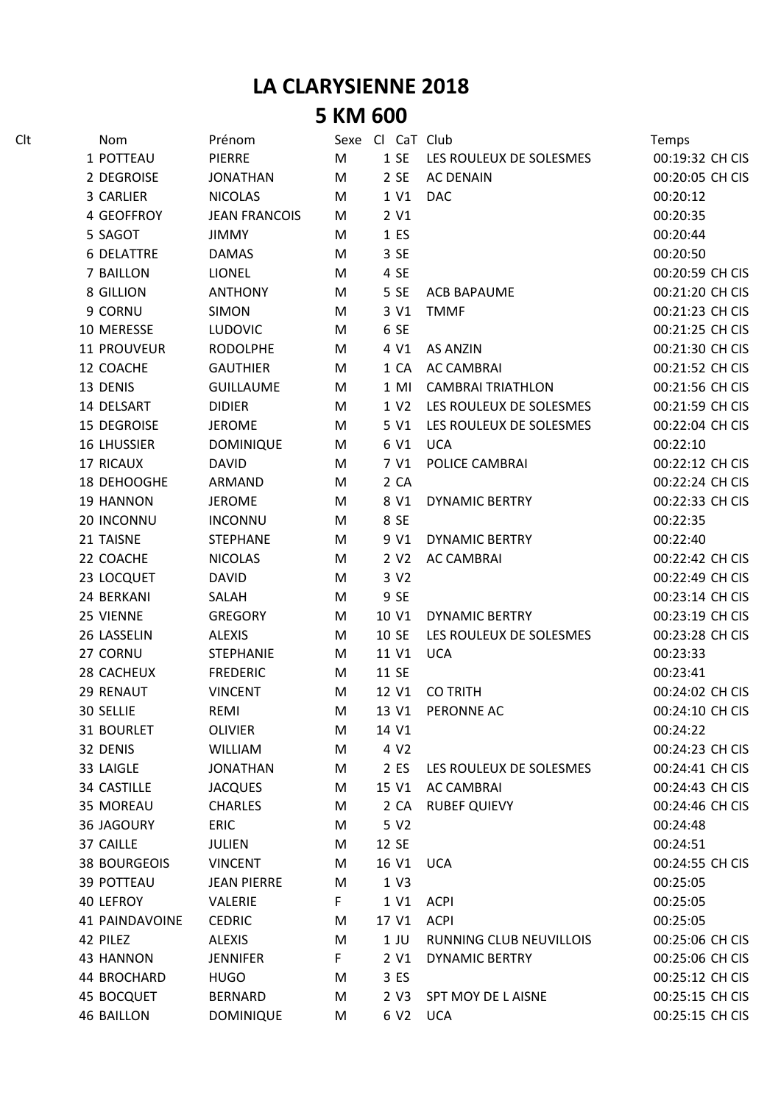## **LA CLARYSIENNE 2018 5 KM 600**

| Clt | Nom                 | Prénom               |    | Sexe Cl CaT Club |                          | Temps           |
|-----|---------------------|----------------------|----|------------------|--------------------------|-----------------|
|     | 1 POTTEAU           | <b>PIERRE</b>        | M  | 1SE              | LES ROULEUX DE SOLESMES  | 00:19:32 CH CIS |
|     | 2 DEGROISE          | <b>JONATHAN</b>      | M  | 2 SE             | <b>AC DENAIN</b>         | 00:20:05 CH CIS |
|     | 3 CARLIER           | <b>NICOLAS</b>       | M  | 1 V1             | <b>DAC</b>               | 00:20:12        |
|     | 4 GEOFFROY          | <b>JEAN FRANCOIS</b> | М  | 2 V1             |                          | 00:20:35        |
|     | 5 SAGOT             | <b>JIMMY</b>         | M  | 1 ES             |                          | 00:20:44        |
|     | <b>6 DELATTRE</b>   | <b>DAMAS</b>         | M  | 3 SE             |                          | 00:20:50        |
|     | 7 BAILLON           | LIONEL               | M  | 4 SE             |                          | 00:20:59 CH CIS |
|     | 8 GILLION           | <b>ANTHONY</b>       | M  | 5 SE             | <b>ACB BAPAUME</b>       | 00:21:20 CH CIS |
|     | 9 CORNU             | <b>SIMON</b>         | M  | 3 V1             | <b>TMMF</b>              | 00:21:23 CH CIS |
|     | 10 MERESSE          | <b>LUDOVIC</b>       | M  | 6 SE             |                          | 00:21:25 CH CIS |
|     | 11 PROUVEUR         | <b>RODOLPHE</b>      | M  | 4 V1             | <b>AS ANZIN</b>          | 00:21:30 CH CIS |
|     | 12 COACHE           | <b>GAUTHIER</b>      | M  | 1 CA             | <b>AC CAMBRAI</b>        | 00:21:52 CH CIS |
|     | 13 DENIS            | <b>GUILLAUME</b>     | M  | $1$ MI           | <b>CAMBRAI TRIATHLON</b> | 00:21:56 CH CIS |
|     | 14 DELSART          | <b>DIDIER</b>        | M  | 1 V <sub>2</sub> | LES ROULEUX DE SOLESMES  | 00:21:59 CH CIS |
|     | 15 DEGROISE         | <b>JEROME</b>        | M  | 5 V1             | LES ROULEUX DE SOLESMES  | 00:22:04 CH CIS |
|     | <b>16 LHUSSIER</b>  | <b>DOMINIQUE</b>     | M  | 6 V1             | <b>UCA</b>               | 00:22:10        |
|     | 17 RICAUX           | <b>DAVID</b>         | M  | 7 V1             | POLICE CAMBRAI           | 00:22:12 CH CIS |
|     | 18 DEHOOGHE         | ARMAND               | M  | 2 CA             |                          | 00:22:24 CH CIS |
|     | 19 HANNON           | <b>JEROME</b>        | M  | 8 V1             | <b>DYNAMIC BERTRY</b>    | 00:22:33 CH CIS |
|     | 20 INCONNU          | <b>INCONNU</b>       | M  | 8 SE             |                          | 00:22:35        |
|     | 21 TAISNE           | <b>STEPHANE</b>      | M  | 9 V1             | <b>DYNAMIC BERTRY</b>    | 00:22:40        |
|     | 22 COACHE           | <b>NICOLAS</b>       | M  | 2 V <sub>2</sub> | <b>AC CAMBRAI</b>        | 00:22:42 CH CIS |
|     | 23 LOCQUET          | <b>DAVID</b>         | M  | 3 V <sub>2</sub> |                          | 00:22:49 CH CIS |
|     | 24 BERKANI          | SALAH                | M  | 9 SE             |                          | 00:23:14 CH CIS |
|     | 25 VIENNE           | <b>GREGORY</b>       | M  | 10 V1            | <b>DYNAMIC BERTRY</b>    | 00:23:19 CH CIS |
|     | 26 LASSELIN         | <b>ALEXIS</b>        | M  | 10 SE            | LES ROULEUX DE SOLESMES  | 00:23:28 CH CIS |
|     | 27 CORNU            | <b>STEPHANIE</b>     | M  | 11 V1            | <b>UCA</b>               | 00:23:33        |
|     | 28 CACHEUX          | <b>FREDERIC</b>      | М  | 11 SE            |                          | 00:23:41        |
|     | 29 RENAUT           | <b>VINCENT</b>       | M  | 12 V1            | <b>CO TRITH</b>          | 00:24:02 CH CIS |
|     | 30 SELLIE           | REMI                 | M  | 13 V1            | PERONNE AC               | 00:24:10 CH CIS |
|     | 31 BOURLET          | <b>OLIVIER</b>       | M  | 14 V1            |                          | 00:24:22        |
|     | 32 DENIS            | <b>WILLIAM</b>       | M  | 4 V <sub>2</sub> |                          | 00:24:23 CH CIS |
|     | 33 LAIGLE           | <b>JONATHAN</b>      | M  | 2 ES             | LES ROULEUX DE SOLESMES  | 00:24:41 CH CIS |
|     | 34 CASTILLE         | <b>JACQUES</b>       | M  | 15 V1            | <b>AC CAMBRAI</b>        | 00:24:43 CH CIS |
|     | 35 MOREAU           | <b>CHARLES</b>       | M  | 2 CA             | <b>RUBEF QUIEVY</b>      | 00:24:46 CH CIS |
|     | <b>36 JAGOURY</b>   | <b>ERIC</b>          | M  | 5 V <sub>2</sub> |                          | 00:24:48        |
|     | 37 CAILLE           | <b>JULIEN</b>        | M  | 12 SE            |                          | 00:24:51        |
|     | <b>38 BOURGEOIS</b> | <b>VINCENT</b>       | M  | 16 V1            | <b>UCA</b>               | 00:24:55 CH CIS |
|     | <b>39 POTTEAU</b>   | <b>JEAN PIERRE</b>   | M  | 1 <sub>V3</sub>  |                          | 00:25:05        |
|     | 40 LEFROY           | VALERIE              | F  | 1 V1             | <b>ACPI</b>              | 00:25:05        |
|     | 41 PAINDAVOINE      | <b>CEDRIC</b>        | M  | 17 V1            | <b>ACPI</b>              | 00:25:05        |
|     | 42 PILEZ            | ALEXIS               | M  | $1$ JU           | RUNNING CLUB NEUVILLOIS  | 00:25:06 CH CIS |
|     | 43 HANNON           | <b>JENNIFER</b>      | F. | 2 V1             | <b>DYNAMIC BERTRY</b>    | 00:25:06 CH CIS |
|     | 44 BROCHARD         | <b>HUGO</b>          | M  | 3 ES             |                          | 00:25:12 CH CIS |
|     | <b>45 BOCQUET</b>   | <b>BERNARD</b>       | M  | 2 V3             | SPT MOY DE L AISNE       | 00:25:15 CH CIS |
|     | <b>46 BAILLON</b>   | <b>DOMINIQUE</b>     | M  | 6 V2 UCA         |                          | 00:25:15 CH CIS |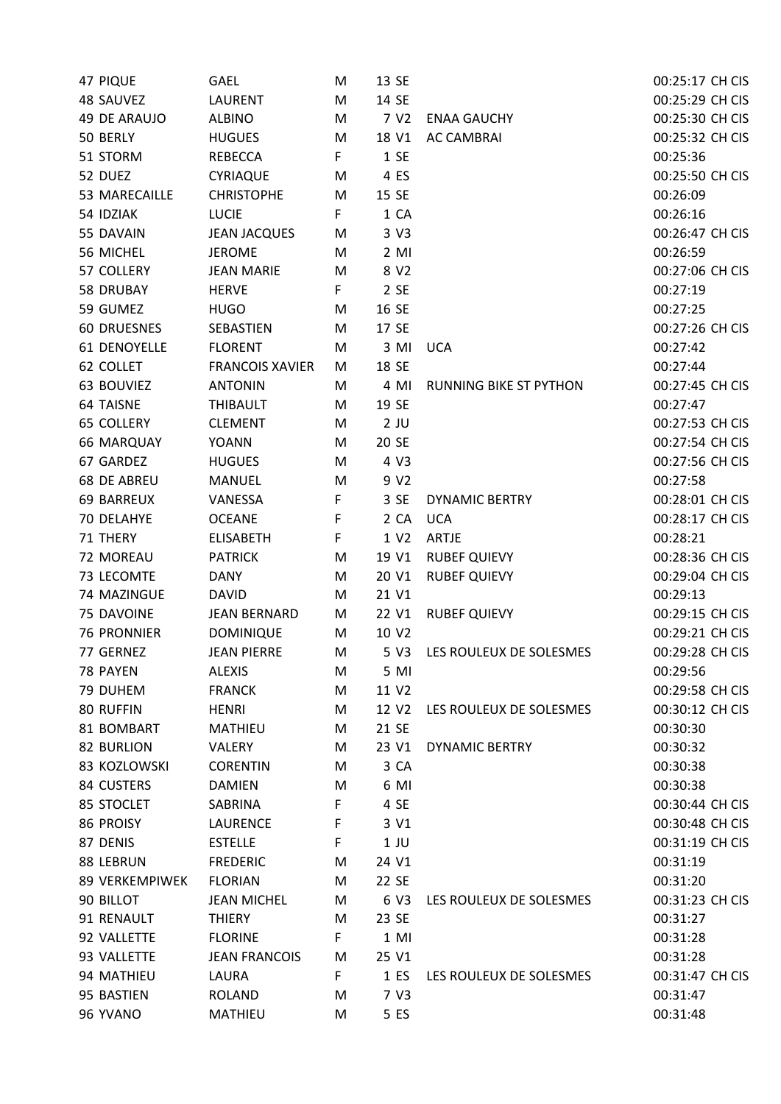| <b>47 PIQUE</b>     | <b>GAEL</b>            | M  | 13 SE             |                               | 00:25:17 CH CIS |
|---------------------|------------------------|----|-------------------|-------------------------------|-----------------|
| 48 SAUVEZ           | <b>LAURENT</b>         | M  | 14 SE             |                               | 00:25:29 CH CIS |
| <b>49 DE ARAUJO</b> | <b>ALBINO</b>          | M  | 7 V <sub>2</sub>  | <b>ENAA GAUCHY</b>            | 00:25:30 CH CIS |
| 50 BERLY            | <b>HUGUES</b>          | M  | 18 V1             | <b>AC CAMBRAI</b>             | 00:25:32 CH CIS |
| 51 STORM            | <b>REBECCA</b>         | F  | 1 SE              |                               | 00:25:36        |
| 52 DUEZ             | CYRIAQUE               | M  | 4 ES              |                               | 00:25:50 CH CIS |
| 53 MARECAILLE       | <b>CHRISTOPHE</b>      | M  | 15 SE             |                               | 00:26:09        |
| 54 IDZIAK           | <b>LUCIE</b>           | F. | 1 CA              |                               | 00:26:16        |
| 55 DAVAIN           | <b>JEAN JACQUES</b>    | M  | 3 V3              |                               | 00:26:47 CH CIS |
| 56 MICHEL           | <b>JEROME</b>          | M  | $2$ MI            |                               | 00:26:59        |
| 57 COLLERY          | <b>JEAN MARIE</b>      | M  | 8 V <sub>2</sub>  |                               | 00:27:06 CH CIS |
| 58 DRUBAY           | <b>HERVE</b>           | F. | 2 SE              |                               | 00:27:19        |
| 59 GUMEZ            | <b>HUGO</b>            | M  | 16 SE             |                               | 00:27:25        |
| <b>60 DRUESNES</b>  | SEBASTIEN              | M  | 17 SE             |                               | 00:27:26 CH CIS |
| 61 DENOYELLE        | <b>FLORENT</b>         | M  | 3 MI              | <b>UCA</b>                    | 00:27:42        |
| 62 COLLET           | <b>FRANCOIS XAVIER</b> | M  | 18 SE             |                               | 00:27:44        |
| 63 BOUVIEZ          | <b>ANTONIN</b>         | M  | 4 MI              | <b>RUNNING BIKE ST PYTHON</b> | 00:27:45 CH CIS |
| <b>64 TAISNE</b>    | THIBAULT               | M  | 19 SE             |                               | 00:27:47        |
| <b>65 COLLERY</b>   | <b>CLEMENT</b>         | M  | $2$ JU            |                               | 00:27:53 CH CIS |
| <b>66 MARQUAY</b>   | <b>YOANN</b>           | M  | 20 SE             |                               | 00:27:54 CH CIS |
| 67 GARDEZ           | <b>HUGUES</b>          | M  | 4 V3              |                               | 00:27:56 CH CIS |
| <b>68 DE ABREU</b>  | <b>MANUEL</b>          | M  | 9 V <sub>2</sub>  |                               | 00:27:58        |
| <b>69 BARREUX</b>   | VANESSA                | F  | 3 SE              | <b>DYNAMIC BERTRY</b>         | 00:28:01 CH CIS |
| 70 DELAHYE          | <b>OCEANE</b>          | F  | 2 CA              | <b>UCA</b>                    | 00:28:17 CH CIS |
| 71 THERY            | <b>ELISABETH</b>       | F  | 1 V2              | ARTJE                         | 00:28:21        |
| 72 MOREAU           | <b>PATRICK</b>         | M  | 19 V1             | <b>RUBEF QUIEVY</b>           | 00:28:36 CH CIS |
| 73 LECOMTE          | <b>DANY</b>            |    | 20 V1             |                               | 00:29:04 CH CIS |
|                     |                        | M  | 21 V1             | <b>RUBEF QUIEVY</b>           | 00:29:13        |
| 74 MAZINGUE         | <b>DAVID</b>           | M  |                   |                               |                 |
| 75 DAVOINE          | <b>JEAN BERNARD</b>    | M  | 22 V1             | <b>RUBEF QUIEVY</b>           | 00:29:15 CH CIS |
| <b>76 PRONNIER</b>  | <b>DOMINIQUE</b>       | M  | 10 V <sub>2</sub> |                               | 00:29:21 CH CIS |
| 77 GERNEZ           | <b>JEAN PIERRE</b>     | M  | 5 V3              | LES ROULEUX DE SOLESMES       | 00:29:28 CH CIS |
| 78 PAYEN            | <b>ALEXIS</b>          | M  | 5 MI              |                               | 00:29:56        |
| 79 DUHEM            | <b>FRANCK</b>          | M  | 11 V2             |                               | 00:29:58 CH CIS |
| 80 RUFFIN           | <b>HENRI</b>           | M  | 12 V2             | LES ROULEUX DE SOLESMES       | 00:30:12 CH CIS |
| 81 BOMBART          | <b>MATHIEU</b>         | M  | 21 SE             |                               | 00:30:30        |
| <b>82 BURLION</b>   | VALERY                 | M  | 23 V1             | <b>DYNAMIC BERTRY</b>         | 00:30:32        |
| 83 KOZLOWSKI        | <b>CORENTIN</b>        | M  | 3 CA              |                               | 00:30:38        |
| 84 CUSTERS          | <b>DAMIEN</b>          | M  | 6 MI              |                               | 00:30:38        |
| 85 STOCLET          | SABRINA                | F  | 4 SE              |                               | 00:30:44 CH CIS |
| 86 PROISY           | <b>LAURENCE</b>        | F  | 3 V1              |                               | 00:30:48 CH CIS |
| 87 DENIS            | <b>ESTELLE</b>         | F  | $1$ JU            |                               | 00:31:19 CH CIS |
| 88 LEBRUN           | <b>FREDERIC</b>        | M  | 24 V1             |                               | 00:31:19        |
| 89 VERKEMPIWEK      | <b>FLORIAN</b>         | M  | 22 SE             |                               | 00:31:20        |
| 90 BILLOT           | <b>JEAN MICHEL</b>     | M  | 6 V3              | LES ROULEUX DE SOLESMES       | 00:31:23 CH CIS |
| 91 RENAULT          | <b>THIERY</b>          | M  | 23 SE             |                               | 00:31:27        |
| 92 VALLETTE         | <b>FLORINE</b>         | F. | $1$ MI            |                               | 00:31:28        |
| 93 VALLETTE         | <b>JEAN FRANCOIS</b>   | M  | 25 V1             |                               | 00:31:28        |
| 94 MATHIEU          | LAURA                  | F. | 1 ES              | LES ROULEUX DE SOLESMES       | 00:31:47 CH CIS |
| 95 BASTIEN          | <b>ROLAND</b>          | M  | 7 V3              |                               | 00:31:47        |
| 96 YVANO            | <b>MATHIEU</b>         | M  | 5 ES              |                               | 00:31:48        |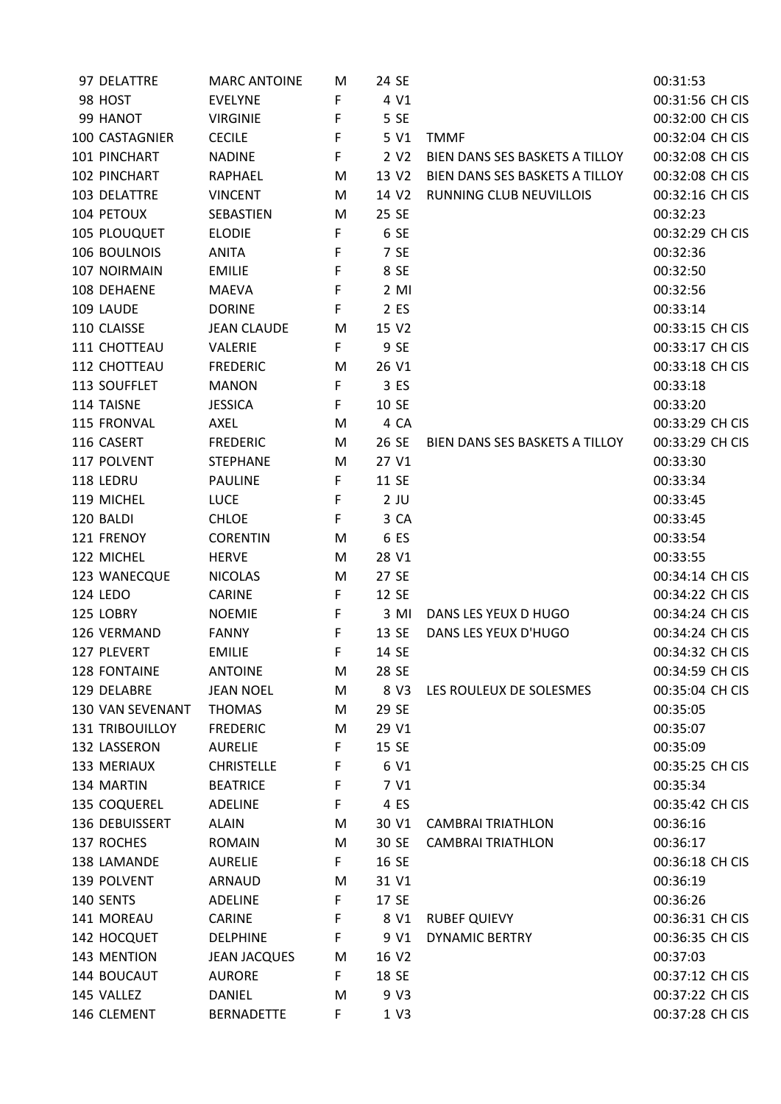| 97 DELATTRE            | <b>MARC ANTOINE</b> | M  | 24 SE             |                                | 00:31:53        |
|------------------------|---------------------|----|-------------------|--------------------------------|-----------------|
| 98 HOST                | <b>EVELYNE</b>      | F  | 4 V1              |                                | 00:31:56 CH CIS |
| 99 HANOT               | <b>VIRGINIE</b>     | F  | 5 SE              |                                | 00:32:00 CH CIS |
| 100 CASTAGNIER         | <b>CECILE</b>       | F  | 5 V1              | <b>TMMF</b>                    | 00:32:04 CH CIS |
| 101 PINCHART           | <b>NADINE</b>       | F  | 2 V <sub>2</sub>  | BIEN DANS SES BASKETS A TILLOY | 00:32:08 CH CIS |
| 102 PINCHART           | <b>RAPHAEL</b>      | M  | 13 V2             | BIEN DANS SES BASKETS A TILLOY | 00:32:08 CH CIS |
| 103 DELATTRE           | <b>VINCENT</b>      | M  | 14 V <sub>2</sub> | RUNNING CLUB NEUVILLOIS        | 00:32:16 CH CIS |
| 104 PETOUX             | SEBASTIEN           | M  | 25 SE             |                                | 00:32:23        |
| 105 PLOUQUET           | <b>ELODIE</b>       | F  | 6 SE              |                                | 00:32:29 CH CIS |
| 106 BOULNOIS           | ANITA               | F  | 7 SE              |                                | 00:32:36        |
| 107 NOIRMAIN           | <b>EMILIE</b>       | F  | 8 SE              |                                | 00:32:50        |
| 108 DEHAENE            | <b>MAEVA</b>        | F  | $2$ MI            |                                | 00:32:56        |
| 109 LAUDE              | <b>DORINE</b>       | F  | 2 ES              |                                | 00:33:14        |
| 110 CLAISSE            | <b>JEAN CLAUDE</b>  | M  | 15 V2             |                                | 00:33:15 CH CIS |
| 111 CHOTTEAU           | VALERIE             | F  | 9 SE              |                                | 00:33:17 CH CIS |
| 112 CHOTTEAU           | <b>FREDERIC</b>     | M  | 26 V1             |                                | 00:33:18 CH CIS |
| 113 SOUFFLET           | <b>MANON</b>        | F  | 3 ES              |                                | 00:33:18        |
| 114 TAISNE             | <b>JESSICA</b>      | F  | 10 SE             |                                | 00:33:20        |
| 115 FRONVAL            | AXEL                | M  | 4 CA              |                                | 00:33:29 CH CIS |
| 116 CASERT             | <b>FREDERIC</b>     | M  | 26 SE             | BIEN DANS SES BASKETS A TILLOY | 00:33:29 CH CIS |
| 117 POLVENT            | <b>STEPHANE</b>     | M  | 27 V1             |                                | 00:33:30        |
| 118 LEDRU              | <b>PAULINE</b>      | F  | 11 SE             |                                | 00:33:34        |
| 119 MICHEL             | <b>LUCE</b>         | F  | $2$ JU            |                                | 00:33:45        |
| 120 BALDI              | <b>CHLOE</b>        | F  | 3 CA              |                                | 00:33:45        |
| 121 FRENOY             | <b>CORENTIN</b>     | M  | 6 ES              |                                | 00:33:54        |
| 122 MICHEL             |                     |    |                   |                                |                 |
|                        | <b>HERVE</b>        | M  | 28 V1             |                                | 00:33:55        |
| 123 WANECQUE           | <b>NICOLAS</b>      | M  | 27 SE             |                                | 00:34:14 CH CIS |
| <b>124 LEDO</b>        | <b>CARINE</b>       | F  | 12 SE             |                                | 00:34:22 CH CIS |
| 125 LOBRY              | <b>NOEMIE</b>       | F  | 3 MI              | DANS LES YEUX D HUGO           | 00:34:24 CH CIS |
| 126 VERMAND            | <b>FANNY</b>        | F  | 13 SE             | DANS LES YEUX D'HUGO           | 00:34:24 CH CIS |
| 127 PLEVERT            | <b>EMILIE</b>       | F  | 14 SE             |                                | 00:34:32 CH CIS |
| 128 FONTAINE           | <b>ANTOINE</b>      | M  | 28 SE             |                                | 00:34:59 CH CIS |
| 129 DELABRE            | <b>JEAN NOEL</b>    | M  | 8 V3              | LES ROULEUX DE SOLESMES        | 00:35:04 CH CIS |
| 130 VAN SEVENANT       | <b>THOMAS</b>       | M  | 29 SE             |                                | 00:35:05        |
| <b>131 TRIBOUILLOY</b> | <b>FREDERIC</b>     | M  | 29 V1             |                                | 00:35:07        |
| 132 LASSERON           | <b>AURELIE</b>      | F  | 15 SE             |                                | 00:35:09        |
| 133 MERIAUX            | <b>CHRISTELLE</b>   | F  | 6 V1              |                                | 00:35:25 CH CIS |
| 134 MARTIN             | <b>BEATRICE</b>     | F  | 7 V1              |                                | 00:35:34        |
| 135 COQUEREL           | <b>ADELINE</b>      | F  | 4 ES              |                                | 00:35:42 CH CIS |
| 136 DEBUISSERT         | <b>ALAIN</b>        | M  | 30 V1             | <b>CAMBRAI TRIATHLON</b>       | 00:36:16        |
| 137 ROCHES             | <b>ROMAIN</b>       | M  | 30 SE             | <b>CAMBRAI TRIATHLON</b>       | 00:36:17        |
| 138 LAMANDE            | <b>AURELIE</b>      | F. | 16 SE             |                                | 00:36:18 CH CIS |
| 139 POLVENT            | ARNAUD              | M  | 31 V1             |                                | 00:36:19        |
| 140 SENTS              | <b>ADELINE</b>      | F  | 17 SE             |                                | 00:36:26        |
| 141 MOREAU             | CARINE              | F  | 8 V1              | <b>RUBEF QUIEVY</b>            | 00:36:31 CH CIS |
| 142 HOCQUET            | <b>DELPHINE</b>     | F  | 9 V1              | <b>DYNAMIC BERTRY</b>          | 00:36:35 CH CIS |
| 143 MENTION            | <b>JEAN JACQUES</b> | M  | 16 V2             |                                | 00:37:03        |
| 144 BOUCAUT            | <b>AURORE</b>       | F  | 18 SE             |                                | 00:37:12 CH CIS |
| 145 VALLEZ             | DANIEL              | M  | 9 V3              |                                | 00:37:22 CH CIS |
| 146 CLEMENT            | <b>BERNADETTE</b>   | F  | 1 V3              |                                | 00:37:28 CH CIS |